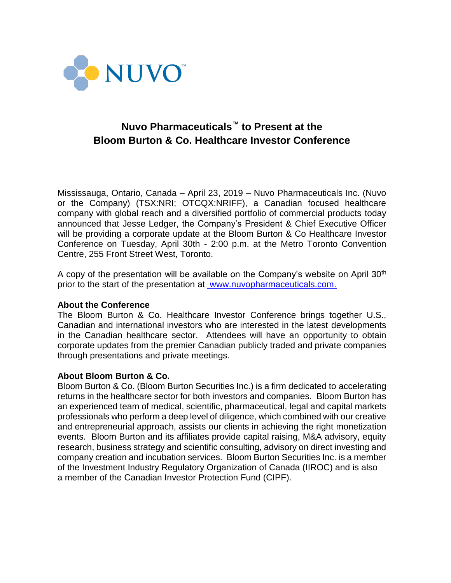

# **Nuvo Pharmaceuticals™ to Present at the Bloom Burton & Co. Healthcare Investor Conference**

Mississauga, Ontario, Canada – April 23, 2019 – Nuvo Pharmaceuticals Inc. (Nuvo or the Company) (TSX:NRI; OTCQX:NRIFF), a Canadian focused healthcare company with global reach and a diversified portfolio of commercial products today announced that Jesse Ledger, the Company's President & Chief Executive Officer will be providing a corporate update at the Bloom Burton & Co Healthcare Investor Conference on Tuesday, April 30th - 2:00 p.m. at the Metro Toronto Convention Centre, 255 Front Street West, Toronto.

A copy of the presentation will be available on the Company's website on April  $30<sup>th</sup>$ prior to the start of the presentation at [www.nuvopharmaceuticals.com.](http://www.nuvopharmaceuticals.com/)

#### **About the Conference**

The Bloom Burton & Co. Healthcare Investor Conference brings together U.S., Canadian and international investors who are interested in the latest developments in the Canadian healthcare sector. Attendees will have an opportunity to obtain corporate updates from the premier Canadian publicly traded and private companies through presentations and private meetings.

## **About Bloom Burton & Co.**

Bloom Burton & Co. (Bloom Burton Securities Inc.) is a firm dedicated to accelerating returns in the healthcare sector for both investors and companies. Bloom Burton has an experienced team of medical, scientific, pharmaceutical, legal and capital markets professionals who perform a deep level of diligence, which combined with our creative and entrepreneurial approach, assists our clients in achieving the right monetization events. Bloom Burton and its affiliates provide capital raising, M&A advisory, equity research, business strategy and scientific consulting, advisory on direct investing and company creation and incubation services. Bloom Burton Securities Inc. is a member of the Investment Industry Regulatory Organization of Canada (IIROC) and is also a member of the Canadian Investor Protection Fund (CIPF).